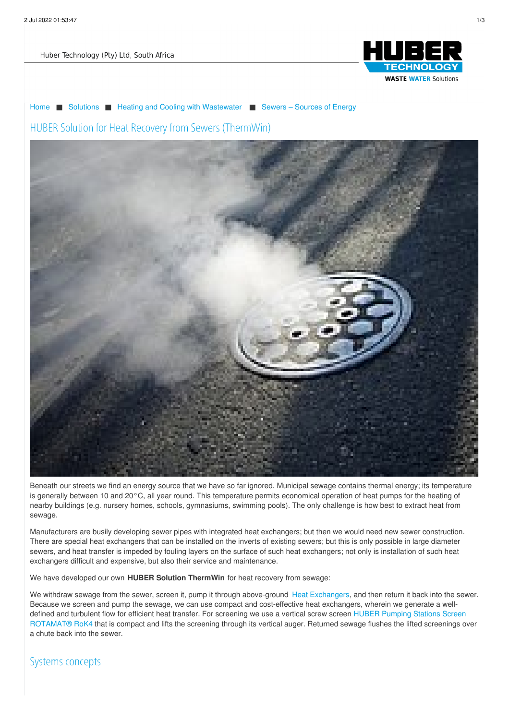Huber Technology (Pty) Ltd, South Africa



[Home](/) ■ [Solutions](/solutions.html) ■ Heating and Cooling with [Wastewater](/solutions/heating-and-cooling-with-wastewater.html) ■ Sewers – [Sources](/solutions/heating-and-cooling-with-wastewater/sewers-sources-of-energy.html) of Energy HUBER Solution for Heat Recovery from Sewers (ThermWin)



Beneath our streets we find an energy source that we have so far ignored. Municipal sewage contains thermal energy; its temperature is generally between 10 and 20°C, all year round. This temperature permits economical operation of heat pumps for the heating of nearby buildings (e.g. nursery homes, schools, gymnasiums, swimming pools). The only challenge is how best to extract heat from sewage.

Manufacturers are busily developing sewer pipes with integrated heat exchangers; but then we would need new sewer construction. There are special heat exchangers that can be installed on the inverts of existing sewers; but this is only possible in large diameter sewers, and heat transfer is impeded by fouling layers on the surface of such heat exchangers; not only is installation of such heat exchangers difficult and expensive, but also their service and maintenance.

We have developed our own **HUBER Solution ThermWin** for heat recovery from sewage:

We withdraw sewage from the sewer, screen it, pump it through above-ground Heat [Exchangers](http://www.hubersa.com/products/energy-from-wastewater/huber-heat-exchanger-rowin.html), and then return it back into the sewer. Because we screen and pump the sewage, we can use compact and cost-effective heat exchangers, wherein we generate a welldefined and turbulent flow for efficient heat transfer. For screening we use a vertical screw screen HUBER Pumping Stations Screen [ROTAMAT®](produits/recuperation-denergie/huber-degrilleur-a-vis-vertical-pour-stations-de-pompage-rotamatr-rok4.html) RoK4 that is compact and lifts the screening through its vertical auger. Returned sewage flushes the lifted screenings over a chute back into the sewer.

Systems concepts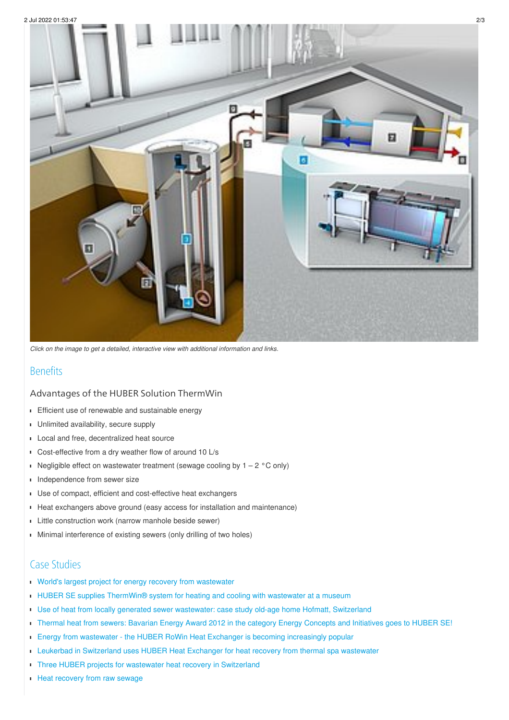

*Click on the image to get a detailed, interactive view with additional information and links.*

## Benefits

### Advantages of the HUBER Solution ThermWin

- **Efficient use of renewable and sustainable energy**
- $\blacksquare$ Unlimited availability, secure supply
- Local and free, decentralized heat source
- Cost-effective from a dry weather flow of around 10 L/s
- Negligible effect on wastewater treatment (sewage cooling by  $1 2$  °C only)
- Independence from sewer size  $\blacksquare$
- Use of compact, efficient and cost-effective heat exchangers
- Heat exchangers above ground (easy access for installation and maintenance)
- **Little construction work (narrow manhole beside sewer)**
- Minimal interference of existing sewers (only drilling of two holes)  $\blacksquare$

### Case Studies

- World's largest project for energy recovery from [wastewater](/huber-report/ablage-berichte/energy-from-wastewater/worlds-largest-project-for-energy-recovery-from-wastewater-noventa-energy-partners-relies-on-huber-thermwin.html?L=0)
- HUBER SE supplies [ThermWin®](/huber-report/ablage-berichte/energy-from-wastewater/huber-se-supplies-thermwinr-system-for-heating-and-cooling-with-wastewater-at-a-museum.html?L=0) system for heating and cooling with wastewater at a museum
- Use of heat from locally generated sewer [wastewater:](/huber-report/ablage-berichte/energy-from-wastewater/use-of-heat-from-locally-generated-sewer-wastewater-case-study-old-age-home-hofmatt-switzerland.html?L=0) case study old-age home Hofmatt, Switzerland
- Thermal heat from sewers: Bavarian Energy Award 2012 in the category Energy [Concepts](/huber-report/ablage-berichte/energy-from-wastewater/thermal-heat-from-sewers-bavarian-energy-award-2012-in-the-category-energy-concepts-and-initiatives-goes-to-huber-se.html?L=0) and Initiatives goes to HUBER SE!
- **Energy from wastewater the HUBER RoWin Heat Exchanger is becoming [increasingly](/huber-report/ablage-berichte/energy-from-wastewater/energy-from-wastewater-the-huber-rowin-heat-exchanger-is-becoming-increasingly-popular.html?L=0) popular**
- **Leukerbad in [Switzerland](/huber-report/ablage-berichte/energy-from-wastewater/leukerbad-in-switzerland-uses-huber-heat-exchanger-for-heat-recovery-from-thermal-spa-wastewater.html?L=0) uses HUBER Heat Exchanger for heat recovery from thermal spa wastewater**
- r Three HUBER projects for wastewater heat recovery in [Switzerland](/huber-report/ablage-berichte/energy-from-wastewater/three-huber-projects-for-wastewater-heat-recovery-in-switzerland.html?L=0)
- **Heat [recovery](/huber-report/ablage-berichte/energy-from-wastewater/heat-recovery-from-raw-sewage.html?L=0) from raw sewage**